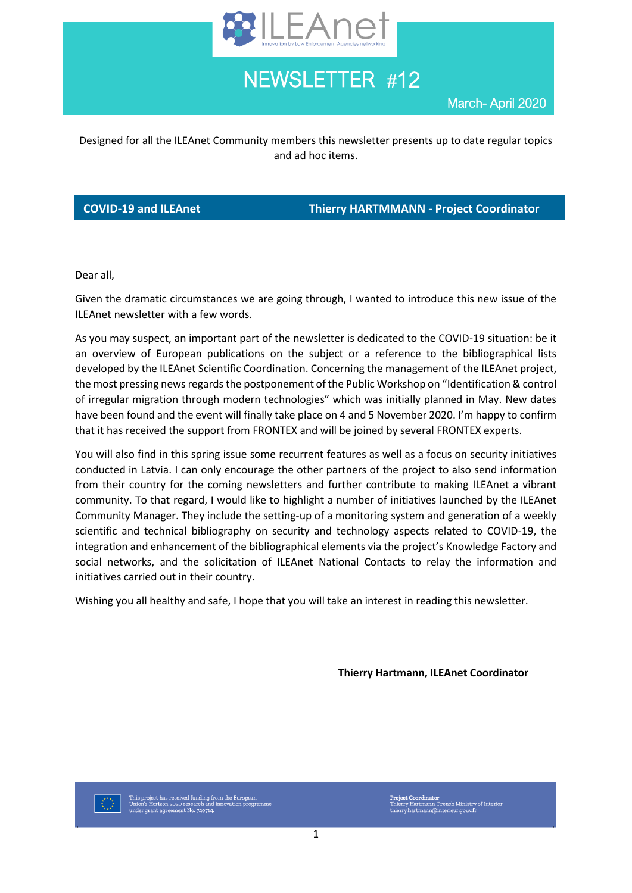

NEWSLETTER #12

March- April 2020

Designed for all the ILEAnet Community members this newsletter presents up to date regular topics and ad hoc items.

**COVID-19 and ILEAnet Thierry HARTMMANN - Project Coordinator**

Dear all,

Given the dramatic circumstances we are going through, I wanted to introduce this new issue of the ILEAnet newsletter with a few words.

As you may suspect, an important part of the newsletter is dedicated to the COVID-19 situation: be it an overview of European publications on the subject or a reference to the bibliographical lists developed by the ILEAnet Scientific Coordination. Concerning the management of the ILEAnet project, the most pressing news regards the postponement of the Public Workshop on "Identification & control of irregular migration through modern technologies" which was initially planned in May. New dates have been found and the event will finally take place on 4 and 5 November 2020. I'm happy to confirm that it has received the support from FRONTEX and will be joined by several FRONTEX experts.

You will also find in this spring issue some recurrent features as well as a focus on security initiatives conducted in Latvia. I can only encourage the other partners of the project to also send information from their country for the coming newsletters and further contribute to making ILEAnet a vibrant community. To that regard, I would like to highlight a number of initiatives launched by the ILEAnet Community Manager. They include the setting-up of a monitoring system and generation of a weekly scientific and technical bibliography on security and technology aspects related to COVID-19, the integration and enhancement of the bibliographical elements via the project's Knowledge Factory and social networks, and the solicitation of ILEAnet National Contacts to relay the information and initiatives carried out in their country.

Wishing you all healthy and safe, I hope that you will take an interest in reading this newsletter.

**Thierry Hartmann, ILEAnet Coordinator**

This project has received funding from the European<br>Union's Horizon 2020 research and innovation programm<br>under grant agreement No. 740714.

**Project Coordinator**<br>Thierry Hartmann, French Ministry of Interior<br>thierry.hartmann@interieur.gouv.fr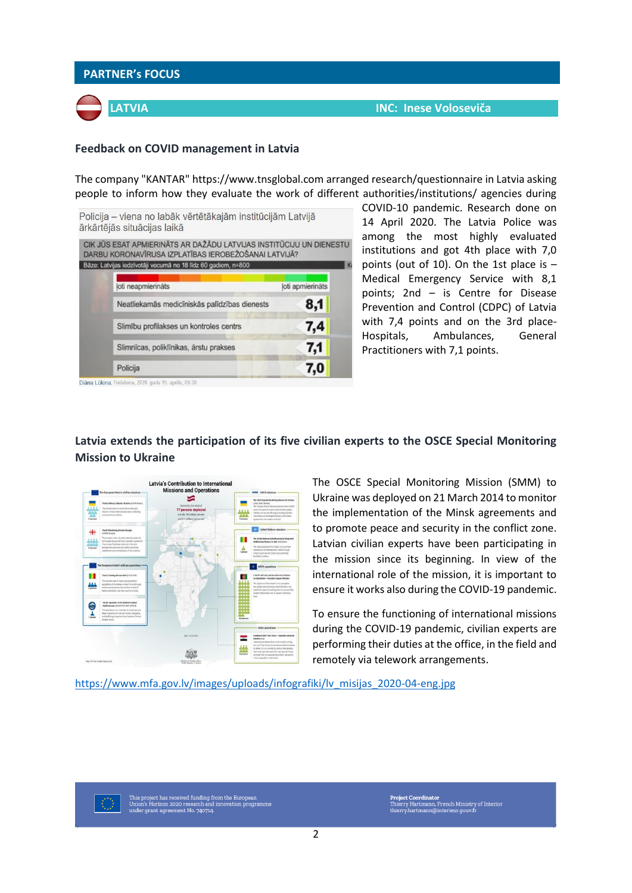

The company "KANTAR" [https://www.tnsglobal.com](https://www.tnsglobal.com/) arranged research/questionnaire in Latvia asking people to inform how they evaluate the work of different authorities/institutions/ agencies during

| Policija – viena no labāk vērtētākajām institūcijām Latvijā<br>ārkārtējās situācijas laikā                                  |                  |
|-----------------------------------------------------------------------------------------------------------------------------|------------------|
| CIK JŪS ESAT APMIERINĀTS AR DAŽĀDU LATVIJAS INSTITŪCIJU UN DIENESTU<br>DARBU KORONAVĪRUSA IZPLATĪBAS IEROBEŽOŠANAI LATVIJĀ? |                  |
| Băze: Latvijas iedzīvotāji vecumā no 18 līdz 60 gadiem, n=800                                                               |                  |
| loti neapmierinäts                                                                                                          | loti apmierināts |
| Neatliekamās medicīniskās palīdzības dienests                                                                               | 8,1              |
| Slimibu profilakses un kontroles centrs                                                                                     | 7,4              |
| Slimnīcas, poliklīnikas, ārstu prakses                                                                                      | 7,1              |
| Policija                                                                                                                    | 7,0              |
| Diâna Lükina. Trešdiena, 2020. gada 15. aprīlis, 09:38                                                                      |                  |

COVID-10 pandemic. Research done on 14 April 2020. The Latvia Police was among the most highly evaluated institutions and got 4th place with 7,0 points (out of 10). On the 1st place is – Medical Emergency Service with 8,1 points; 2nd – is Centre for Disease Prevention and Control (CDPC) of Latvia with 7,4 points and on the 3rd place-Hospitals, Ambulances, General Practitioners with 7,1 points.

# **Latvia extends the participation of its five civilian experts to the OSCE Special Monitoring Mission to Ukraine**



The OSCE Special Monitoring Mission (SMM) to Ukraine was deployed on 21 March 2014 to monitor the implementation of the Minsk agreements and to promote peace and security in the conflict zone. Latvian civilian experts have been participating in the mission since its beginning. In view of the international role of the mission, it is important to ensure it works also during the COVID-19 pandemic.

To ensure the functioning of international missions during the COVID-19 pandemic, civilian experts are performing their duties at the office, in the field and remotely via telework arrangements.

[https://www.mfa.gov.lv/images/uploads/infografiki/lv\\_misijas\\_2020-04-eng.jpg](https://www.mfa.gov.lv/images/uploads/infografiki/lv_misijas_2020-04-eng.jpg)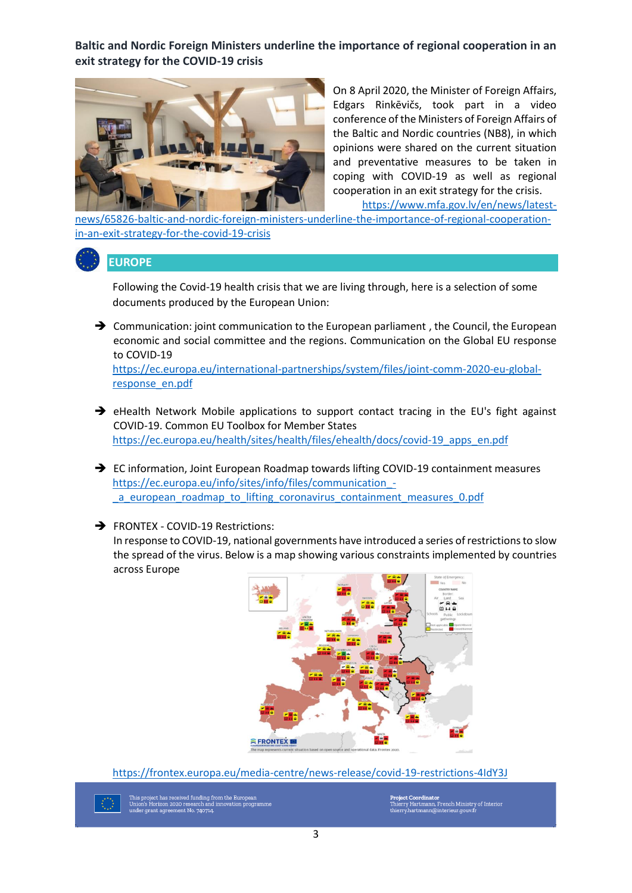**Baltic and Nordic Foreign Ministers underline the importance of regional cooperation in an exit strategy for the COVID-19 crisis**



On 8 April 2020, the Minister of Foreign Affairs, Edgars Rinkēvičs, took part in a video conference of the Ministers of Foreign Affairs of the Baltic and Nordic countries (NB8), in which opinions were shared on the current situation and preventative measures to be taken in coping with COVID-19 as well as regional cooperation in an exit strategy for the crisis.

[https://www.mfa.gov.lv/en/news/latest-](https://www.mfa.gov.lv/en/news/latest-news/65826-baltic-and-nordic-foreign-ministers-underline-the-importance-of-regional-cooperation-in-an-exit-strategy-for-the-covid-19-crisis)

[news/65826-baltic-and-nordic-foreign-ministers-underline-the-importance-of-regional-cooperation](https://www.mfa.gov.lv/en/news/latest-news/65826-baltic-and-nordic-foreign-ministers-underline-the-importance-of-regional-cooperation-in-an-exit-strategy-for-the-covid-19-crisis)[in-an-exit-strategy-for-the-covid-19-crisis](https://www.mfa.gov.lv/en/news/latest-news/65826-baltic-and-nordic-foreign-ministers-underline-the-importance-of-regional-cooperation-in-an-exit-strategy-for-the-covid-19-crisis)

**EUROPE**

Following the Covid-19 health crisis that we are living through, here is a selection of some documents produced by the European Union:

➔ Communication: joint communication to the European parliament , the Council, the European economic and social committee and the regions. Communication on the Global EU response to COVID-19

[https://ec.europa.eu/international-partnerships/system/files/joint-comm-2020-eu-global](https://ec.europa.eu/international-partnerships/system/files/joint-comm-2020-eu-global-response_en.pdf)[response\\_en.pdf](https://ec.europa.eu/international-partnerships/system/files/joint-comm-2020-eu-global-response_en.pdf)

- → eHealth Network Mobile applications to support contact tracing in the EU's fight against COVID-19. Common EU Toolbox for Member States [https://ec.europa.eu/health/sites/health/files/ehealth/docs/covid-19\\_apps\\_en.pdf](https://ec.europa.eu/health/sites/health/files/ehealth/docs/covid-19_apps_en.pdf)
- → EC information, Joint European Roadmap towards lifting COVID-19 containment measures [https://ec.europa.eu/info/sites/info/files/communication\\_](https://ec.europa.eu/info/sites/info/files/communication_-_a_european_roadmap_to_lifting_coronavirus_containment_measures_0.pdf) a european roadmap to lifting coronavirus containment measures 0.pdf

➔ FRONTEX - COVID-19 Restrictions:

In response to COVID-19, national governments have introduced a series of restrictions to slow the spread of the virus. Below is a map showing various constraints implemented by countries across Europe



<https://frontex.europa.eu/media-centre/news-release/covid-19-restrictions-4IdY3J>

ct has received funding from the European<br>prizon 2020 research and innovation programme<br>nt agreement No. 740714.

Project Coordinator<br>Thierry Hartmann, French Ministry of Interior<br>hierry.hartmann@interieur.gouv.fr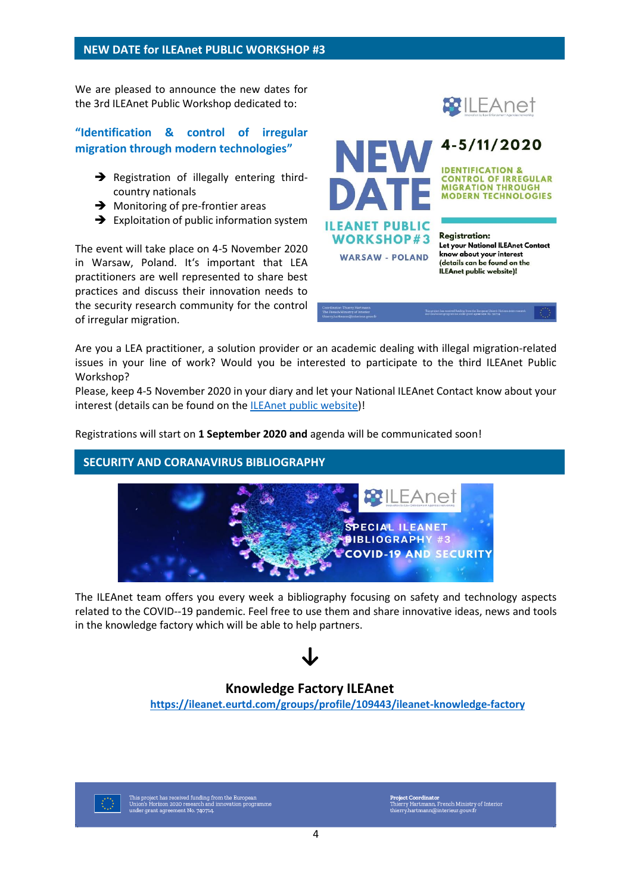We are pleased to announce the new dates for the 3rd ILEAnet Public Workshop dedicated to:

## **"Identification & control of irregular migration through modern technologies"**

- **→** Registration of illegally entering thirdcountry nationals
- **→** Monitoring of pre-frontier areas
- $\rightarrow$  Exploitation of public information system

The event will take place on 4-5 November 2020 in Warsaw, Poland. It's important that LEA practitioners are well represented to share best practices and discuss their innovation needs to the security research community for the control of irregular migration.







**Registration:** Let your National ILEAnet Contact know about your interest (details can be found on the ILEAnet public website)!

Are you a LEA practitioner, a solution provider or an academic dealing with illegal migration-related issues in your line of work? Would you be interested to participate to the third ILEAnet Public Workshop?

Please, keep 4-5 November 2020 in your diary and let your National ILEAnet Contact know about your interest (details can be found on the [ILEAnet public website\)](https://www.ileanet.eu/)!

Registrations will start on **1 September 2020 and** agenda will be communicated soon!

## **SECURITY AND CORANAVIRUS BIBLIOGRAPHY**



The ILEAnet team offers you every week a bibliography focusing on safety and technology aspects related to the COVID--19 pandemic. Feel free to use them and share innovative ideas, news and tools in the knowledge factory which will be able to help partners.

## **Knowledge Factory ILEAnet**

**<https://ileanet.eurtd.com/groups/profile/109443/ileanet-knowledge-factory>**



Project Coordinator<br>Thierry Hartmann, French Ministry of Interior<br>thierry.hartmann@interieur.gouv.fr